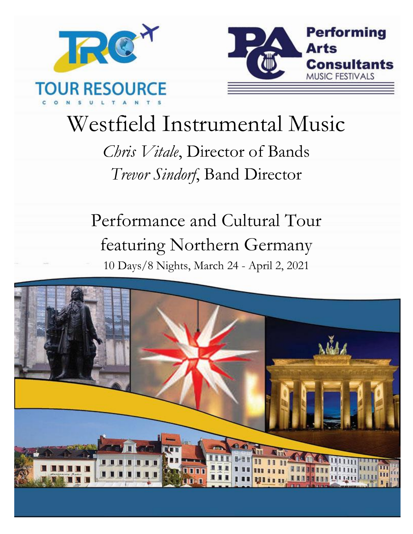



# Westfield Instrumental Music

*Chris Vitale*, Director of Bands *Trevor Sindorf*, Band Director

Performance and Cultural Tour featuring Northern Germany 10 Days/8 Nights, March 24 - April 2, 2021

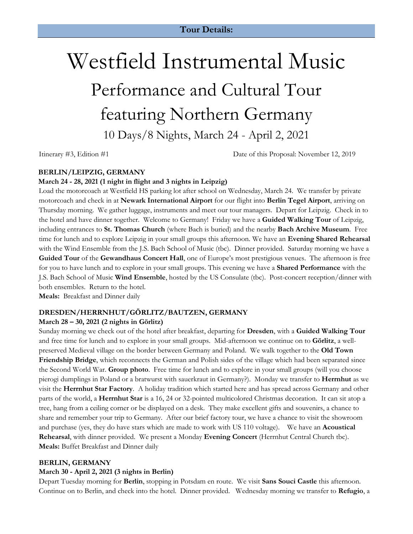## Westfield Instrumental Music Performance and Cultural Tour featuring Northern Germany 10 Days/8 Nights, March 24 - April 2, 2021

Itinerary #3, Edition #1 Date of this Proposal: November 12, 2019

#### **BERLIN/LEIPZIG, GERMANY**

#### **March 24 - 28, 2021 (1 night in flight and 3 nights in Leipzig)**

Load the motorcoach at Westfield HS parking lot after school on Wednesday, March 24. We transfer by private motorcoach and check in at **Newark International Airport** for our flight into **Berlin Tegel Airport**, arriving on Thursday morning. We gather luggage, instruments and meet our tour managers. Depart for Leipzig. Check in to the hotel and have dinner together. Welcome to Germany! Friday we have a **Guided Walking Tour** of Leipzig, including entrances to **St. Thomas Church** (where Bach is buried) and the nearby **Bach Archive Museum**. Free time for lunch and to explore Leipzig in your small groups this afternoon. We have an **Evening Shared Rehearsal**  with the Wind Ensemble from the J.S. Bach School of Music (tbc). Dinner provided. Saturday morning we have a **Guided Tour** of the **Gewandhaus Concert Hall**, one of Europe's most prestigious venues. The afternoon is free for you to have lunch and to explore in your small groups. This evening we have a **Shared Performance** with the J.S. Bach School of Music **Wind Ensemble**, hosted by the US Consulate (tbc). Post-concert reception/dinner with both ensembles. Return to the hotel.

**Meals:** Breakfast and Dinner daily

#### **DRESDEN/HERRNHUT/GÖRLITZ/BAUTZEN, GERMANY**

#### **March 28 – 30, 2021 (2 nights in Görlitz)**

Sunday morning we check out of the hotel after breakfast, departing for **Dresden**, with a **Guided Walking Tour**  and free time for lunch and to explore in your small groups. Mid-afternoon we continue on to **Görlitz**, a wellpreserved Medieval village on the border between Germany and Poland. We walk together to the **Old Town Friendship Bridge**, which reconnects the German and Polish sides of the village which had been separated since the Second World War. **Group photo**. Free time for lunch and to explore in your small groups (will you choose pierogi dumplings in Poland or a bratwurst with sauerkraut in Germany?). Monday we transfer to **Herrnhut** as we visit the **Herrnhut Star Factory**. A holiday tradition which started here and has spread across Germany and other parts of the world, a **Herrnhut Star** is a 16, 24 or 32-pointed multicolored Christmas decoration. It can sit atop a tree, hang from a ceiling corner or be displayed on a desk. They make excellent gifts and souvenirs, a chance to share and remember your trip to Germany. After our brief factory tour, we have a chance to visit the showroom and purchase (yes, they do have stars which are made to work with US 110 voltage). We have an **Acoustical Rehearsal**, with dinner provided. We present a Monday **Evening Concert** (Herrnhut Central Church tbc). **Meals:** Buffet Breakfast and Dinner daily

#### **BERLIN, GERMANY**

#### **March 30 - April 2, 2021 (3 nights in Berlin)**

Depart Tuesday morning for **Berlin**, stopping in Potsdam en route. We visit **Sans Souci Castle** this afternoon. Continue on to Berlin, and check into the hotel. Dinner provided. Wednesday morning we transfer to **Refugio**, a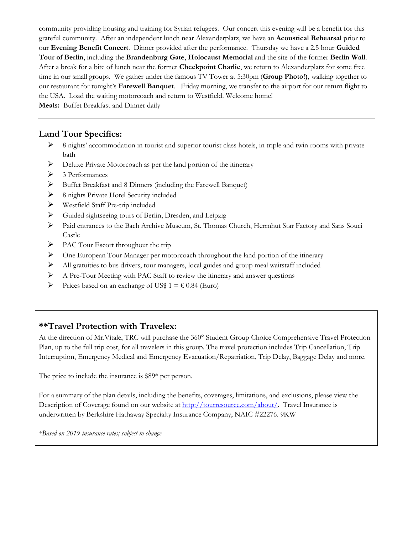community providing housing and training for Syrian refugees. Our concert this evening will be a benefit for this grateful community. After an independent lunch near Alexanderplatz, we have an **Acoustical Rehearsal** prior to our **Evening Benefit Concert**. Dinner provided after the performance. Thursday we have a 2.5 hour **Guided Tour of Berlin**, including the **Brandenburg Gate**, **Holocaust Memorial** and the site of the former **Berlin Wall**. After a break for a bite of lunch near the former **Checkpoint Charlie**, we return to Alexanderplatz for some free time in our small groups. We gather under the famous TV Tower at 5:30pm (**Group Photo!)**, walking together to our restaurant for tonight's **Farewell Banquet**. Friday morning, we transfer to the airport for our return flight to the USA. Load the waiting motorcoach and return to Westfield. Welcome home!

**Meals:** Buffet Breakfast and Dinner daily

#### **Land Tour Specifics:**

- $\triangleright$  8 nights' accommodation in tourist and superior tourist class hotels, in triple and twin rooms with private bath
- ➢ Deluxe Private Motorcoach as per the land portion of the itinerary
- ➢ 3 Performances
- ➢ Buffet Breakfast and 8 Dinners (including the Farewell Banquet)
- ➢ 8 nights Private Hotel Security included
- ➢ Westfield Staff Pre-trip included
- ➢ Guided sightseeing tours of Berlin, Dresden, and Leipzig
- ➢ Paid entrances to the Bach Archive Museum, St. Thomas Church, Herrnhut Star Factory and Sans Souci Castle
- ➢ PAC Tour Escort throughout the trip
- $\triangleright$  One European Tour Manager per motorcoach throughout the land portion of the itinerary
- ➢ All gratuities to bus drivers, tour managers, local guides and group meal waitstaff included
- ➢ A Pre-Tour Meeting with PAC Staff to review the itinerary and answer questions
- $\triangleright$  Prices based on an exchange of US\$ 1 =  $\epsilon$  0.84 (Euro)

#### **\*\*Travel Protection with Travelex:**

At the direction of Mr.Vitale, TRC will purchase the 360° Student Group Choice Comprehensive Travel Protection Plan, up to the full trip cost, <u>for all travelers in this group</u>. The travel protection includes Trip Cancellation, Trip Interruption, Emergency Medical and Emergency Evacuation/Repatriation, Trip Delay, Baggage Delay and more.

The price to include the insurance is \$89\* per person.

For a summary of the plan details, including the benefits, coverages, limitations, and exclusions, please view the Description of Coverage found on our website at http://tourresource.com/about/. Travel Insurance is underwritten by Berkshire Hathaway Specialty Insurance Company; NAIC #22276. 9KW

*\*Based on 2019 insurance rates; subject to change*